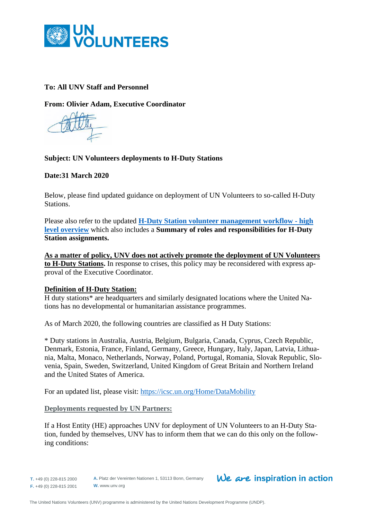

# **To: All UNV Staff and Personnel**

**From: Olivier Adam, Executive Coordinator** 

### **Subject: UN Volunteers deployments to H-Duty Stations**

**Date:31 March 2020**

Below, please find updated guidance on deployment of UN Volunteers to so-called H-Duty Stations.

Please also refer to the updated **[H-Duty Station volunteer management workflow -](https://undp.sharepoint.com/:w:/r/sites/UNVknowledgeMng/_layouts/15/Doc.aspx?sourcedoc=%7B29E4932F-9123-4649-9FE9-0F6218404863%7D&file=H-Duty%20station%20workflow%20overview-%20FINAL.docx&action=default&mobileredirect=true) high [level overview](https://undp.sharepoint.com/:w:/r/sites/UNVknowledgeMng/_layouts/15/Doc.aspx?sourcedoc=%7B29E4932F-9123-4649-9FE9-0F6218404863%7D&file=H-Duty%20station%20workflow%20overview-%20FINAL.docx&action=default&mobileredirect=true)** which also includes a **Summary of roles and responsibilities for H-Duty Station assignments.**

**As a matter of policy, UNV does not actively promote the deployment of UN Volunteers to H-Duty Stations.** In response to crises, this policy may be reconsidered with express approval of the Executive Coordinator.

### **Definition of H-Duty Station:**

H duty stations\* are headquarters and similarly designated locations where the United Nations has no developmental or humanitarian assistance programmes.

As of March 2020, the following countries are classified as H Duty Stations:

\* Duty stations in Australia, Austria, Belgium, Bulgaria, Canada, Cyprus, Czech Republic, Denmark, Estonia, France, Finland, Germany, Greece, Hungary, Italy, Japan, Latvia, Lithuania, Malta, Monaco, Netherlands, Norway, Poland, Portugal, Romania, Slovak Republic, Slovenia, Spain, Sweden, Switzerland, United Kingdom of Great Britain and Northern Ireland and the United States of America.

For an updated list, please visit:<https://icsc.un.org/Home/DataMobility>

**Deployments requested by UN Partners:** 

If a Host Entity (HE) approaches UNV for deployment of UN Volunteers to an H-Duty Station, funded by themselves, UNV has to inform them that we can do this only on the following conditions: